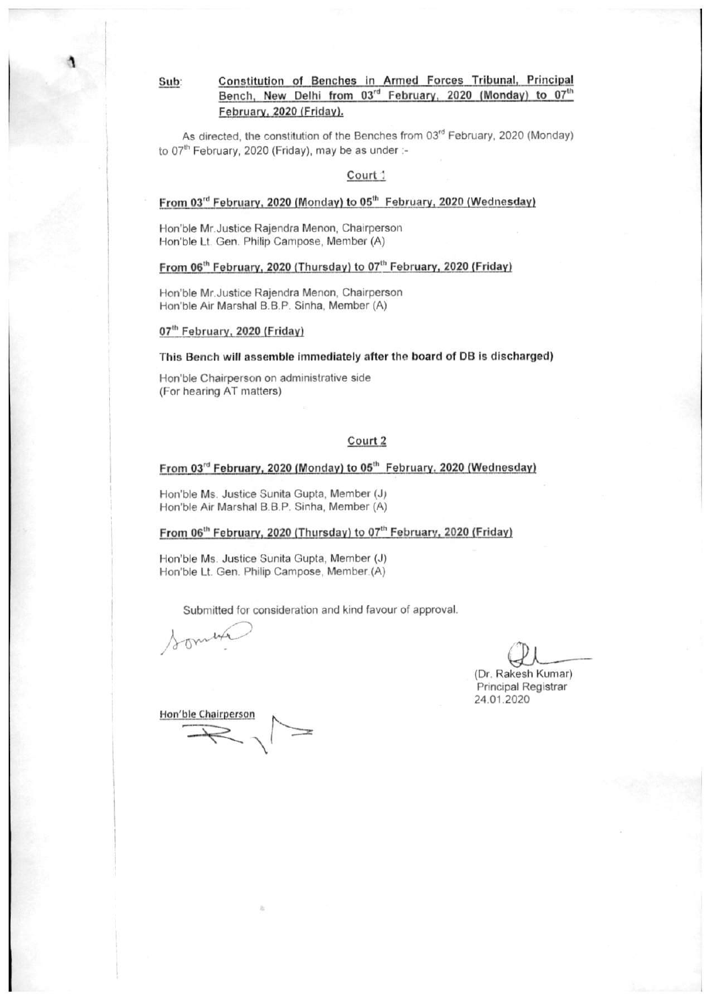#### Constitution of Benches in Armed Forces Tribunal, Principal Sub: Bench, New Delhi from 03rd February, 2020 (Monday) to 07<sup>th</sup> February, 2020 (Friday).

As directed, the constitution of the Benches from 03rd February, 2020 (Monday) to 07<sup>th</sup> February, 2020 (Friday), may be as under :-

#### Court 1

#### From 03<sup>rd</sup> February, 2020 (Monday) to 05<sup>th</sup> February, 2020 (Wednesday)

Hon'ble Mr.Justice Rajendra Menon, Chairperson Hon'ble Lt. Gen. Philip Campose, Member (A)

### From 06th February, 2020 (Thursday) to 07th February, 2020 (Friday)

Hon'ble Mr. Justice Rajendra Menon, Chairperson Hon'ble Air Marshal B.B.P. Sinha, Member (A)

#### 07th February, 2020 (Friday)

#### This Bench will assemble immediately after the board of DB is discharged)

Hon'ble Chairperson on administrative side (For hearing AT matters)

#### Court 2

#### From 03<sup>rd</sup> February, 2020 (Monday) to 05<sup>th</sup> February, 2020 (Wednesday)

Hon'ble Ms. Justice Sunita Gupta, Member (J) Hon'ble Air Marshal B.B.P. Sinha, Member (A)

### From 06th February, 2020 (Thursday) to 07th February, 2020 (Friday)

Hon'ble Ms. Justice Sunita Gupta, Member (J) Hon'ble Lt. Gen. Philip Campose, Member.(A)

Submitted for consideration and kind favour of approval.

(Dr. Rakesh Kumar) Principal Registrar 24.01.2020

Hon'ble Chairperson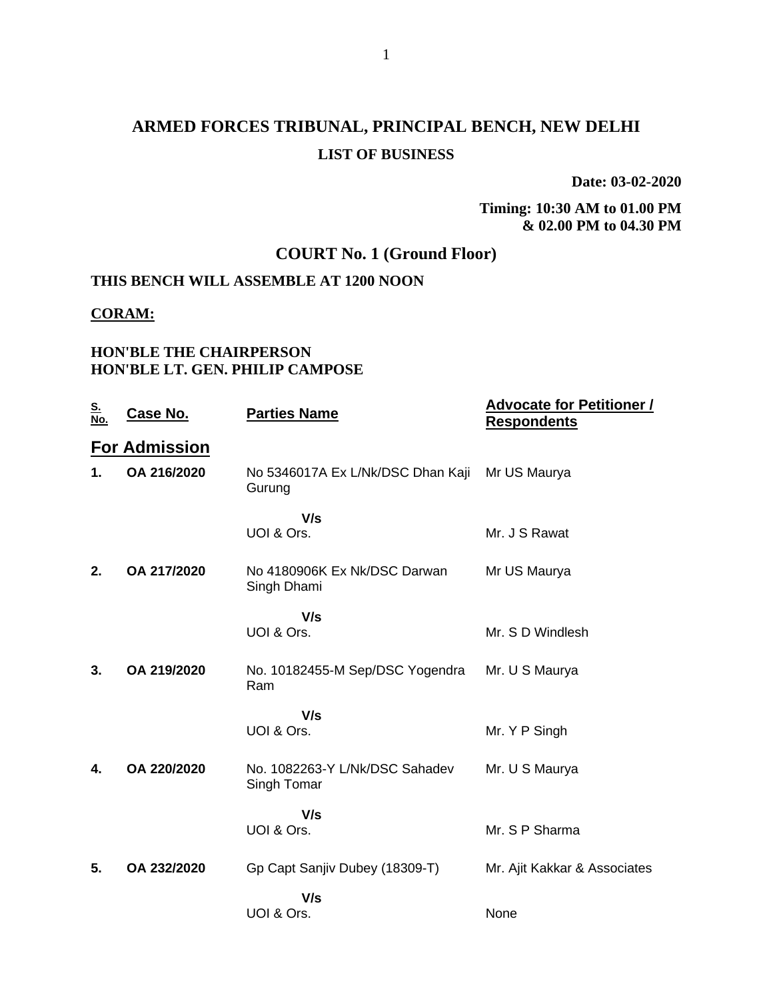# **ARMED FORCES TRIBUNAL, PRINCIPAL BENCH, NEW DELHI LIST OF BUSINESS**

**Date: 03-02-2020**

**Timing: 10:30 AM to 01.00 PM & 02.00 PM to 04.30 PM**

## **COURT No. 1 (Ground Floor)**

## **THIS BENCH WILL ASSEMBLE AT 1200 NOON**

### **CORAM:**

### **HON'BLE THE CHAIRPERSON HON'BLE LT. GEN. PHILIP CAMPOSE**

| <u>S.<br/>No.</u> | Case No.             | <b>Parties Name</b>                           | <b>Advocate for Petitioner /</b><br><b>Respondents</b> |
|-------------------|----------------------|-----------------------------------------------|--------------------------------------------------------|
|                   | <b>For Admission</b> |                                               |                                                        |
| 1.                | OA 216/2020          | No 5346017A Ex L/Nk/DSC Dhan Kaji<br>Gurung   | Mr US Maurya                                           |
|                   |                      | V/s                                           |                                                        |
|                   |                      | UOI & Ors.                                    | Mr. J S Rawat                                          |
| 2.                | OA 217/2020          | No 4180906K Ex Nk/DSC Darwan<br>Singh Dhami   | Mr US Maurya                                           |
|                   |                      | V/s                                           |                                                        |
|                   |                      | UOI & Ors.                                    | Mr. S D Windlesh                                       |
| 3.                | OA 219/2020          | No. 10182455-M Sep/DSC Yogendra<br>Ram        | Mr. U S Maurya                                         |
|                   |                      | V/s                                           |                                                        |
|                   |                      | UOI & Ors.                                    | Mr. Y P Singh                                          |
| 4.                | OA 220/2020          | No. 1082263-Y L/Nk/DSC Sahadev<br>Singh Tomar | Mr. U S Maurya                                         |
|                   |                      | V/s                                           |                                                        |
|                   |                      | UOI & Ors.                                    | Mr. S P Sharma                                         |
| 5.                | OA 232/2020          | Gp Capt Sanjiv Dubey (18309-T)                | Mr. Ajit Kakkar & Associates                           |
|                   |                      | V/s                                           |                                                        |
|                   |                      | UOI & Ors.                                    | None                                                   |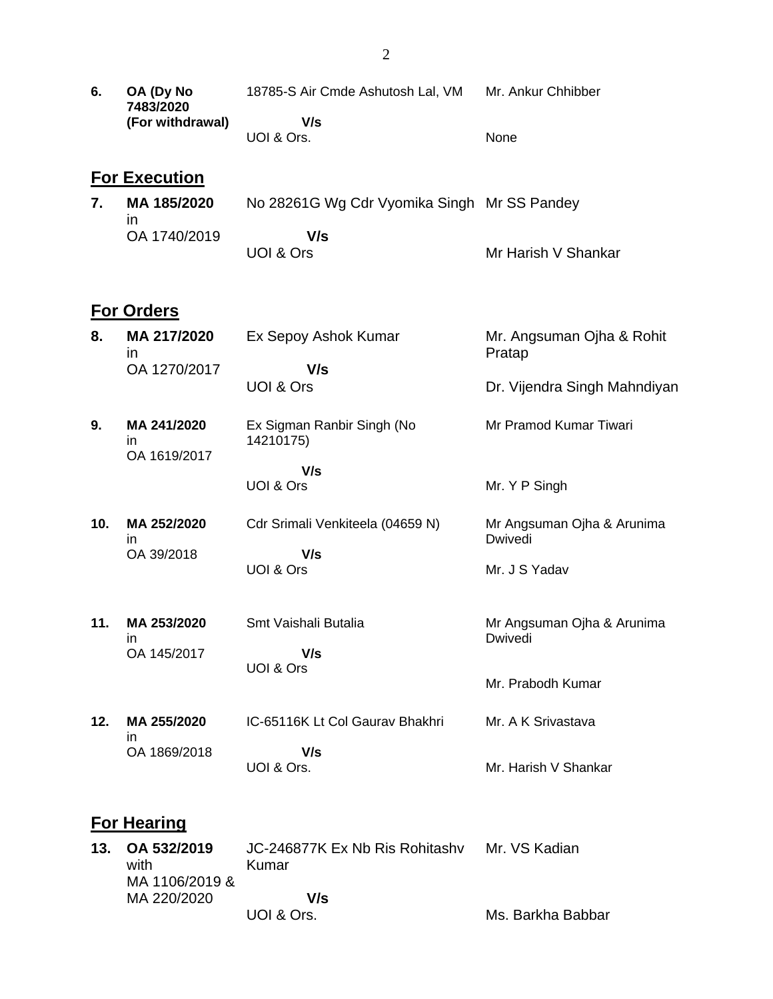**6. OA (Dy No 7483/2020 (For withdrawal)** 18785-S Air Cmde Ashutosh Lal, VM  **V/s** UOI & Ors. Mr. Ankur Chhibber None

# **For Execution**

| MA 185/2020  | No 28261G Wg Cdr Vyomika Singh Mr SS Pandey |                     |
|--------------|---------------------------------------------|---------------------|
| OA 1740/2019 | V/s                                         |                     |
|              | UOI & Ors                                   | Mr Harish V Shankar |

## **For Orders**

| 8.  | MA 217/2020<br>in<br>OA 1270/2017       | Ex Sepoy Ashok Kumar<br>V/s             | Mr. Angsuman Ojha & Rohit<br>Pratap   |
|-----|-----------------------------------------|-----------------------------------------|---------------------------------------|
|     |                                         | UOI & Ors                               | Dr. Vijendra Singh Mahndiyan          |
| 9.  | MA 241/2020<br>in<br>OA 1619/2017       | Ex Sigman Ranbir Singh (No<br>14210175) | Mr Pramod Kumar Tiwari                |
|     |                                         | V/s                                     |                                       |
|     |                                         | UOI & Ors                               | Mr. Y P Singh                         |
| 10. | MA 252/2020<br>in                       | Cdr Srimali Venkiteela (04659 N)        | Mr Angsuman Ojha & Arunima<br>Dwivedi |
|     | OA 39/2018                              | V/s<br>UOI & Ors                        | Mr. J S Yadav                         |
|     |                                         |                                         |                                       |
| 11. | MA 253/2020<br><i>in</i><br>OA 145/2017 | Smt Vaishali Butalia<br>V/s             | Mr Angsuman Ojha & Arunima<br>Dwivedi |
|     |                                         | UOI & Ors                               |                                       |
|     |                                         |                                         | Mr. Prabodh Kumar                     |
| 12. | MA 255/2020<br>in                       | IC-65116K Lt Col Gaurav Bhakhri         | Mr. A K Srivastava                    |
|     | OA 1869/2018                            | V/s                                     |                                       |
|     |                                         | UOI & Ors.                              | Mr. Harish V Shankar                  |
|     |                                         |                                         |                                       |

# **For Hearing**

| 13. OA 532/2019 | JC-246877K Ex Nb Ris Rohitashy Mr. VS Kadian |                   |
|-----------------|----------------------------------------------|-------------------|
| with            | Kumar                                        |                   |
| MA 1106/2019 &  |                                              |                   |
| MA 220/2020     | V/s                                          |                   |
|                 | UOI & Ors.                                   | Ms. Barkha Babbar |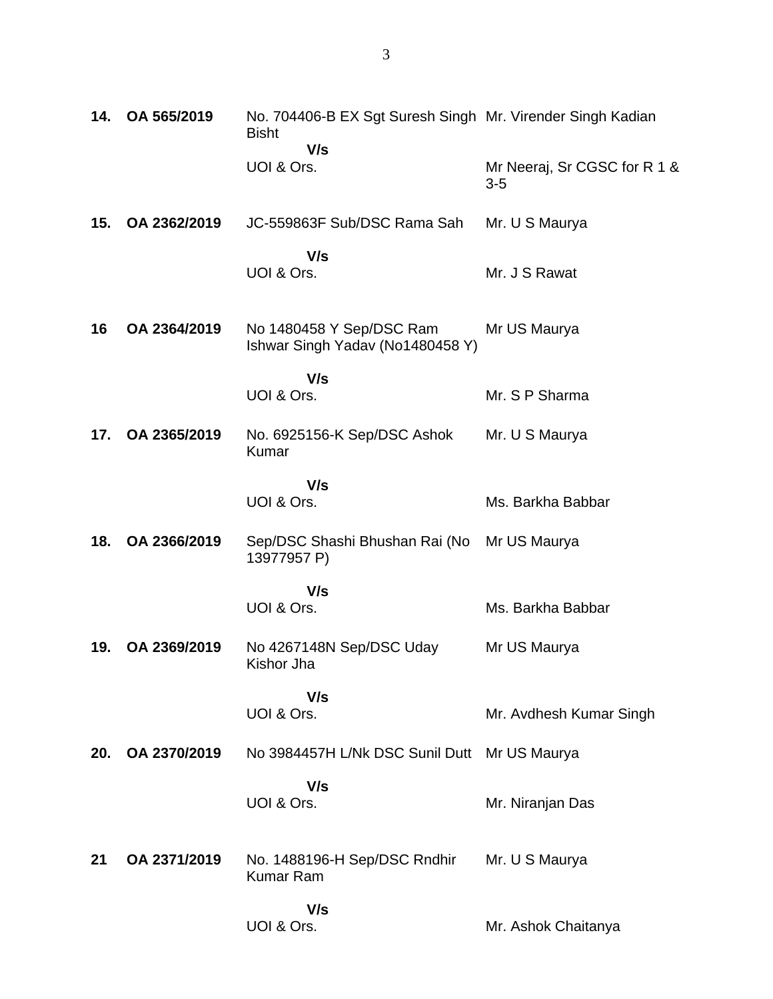| 14. | OA 565/2019  | No. 704406-B EX Sgt Suresh Singh Mr. Virender Singh Kadian<br><b>Bisht</b> |                                       |
|-----|--------------|----------------------------------------------------------------------------|---------------------------------------|
|     |              | V/s<br>UOI & Ors.                                                          | Mr Neeraj, Sr CGSC for R 1 &<br>$3-5$ |
| 15. | OA 2362/2019 | JC-559863F Sub/DSC Rama Sah                                                | Mr. U S Maurya                        |
|     |              | V/s<br>UOI & Ors.                                                          | Mr. J S Rawat                         |
| 16  | OA 2364/2019 | No 1480458 Y Sep/DSC Ram<br>Ishwar Singh Yadav (No1480458 Y)               | Mr US Maurya                          |
|     |              | V/s<br>UOI & Ors.                                                          | Mr. S P Sharma                        |
| 17. | OA 2365/2019 | No. 6925156-K Sep/DSC Ashok<br>Kumar                                       | Mr. U S Maurya                        |
|     |              | V/s<br>UOI & Ors.                                                          | Ms. Barkha Babbar                     |
| 18. | OA 2366/2019 | Sep/DSC Shashi Bhushan Rai (No<br>13977957 P)                              | Mr US Maurya                          |
|     |              | V/s<br>UOI & Ors.                                                          | Ms. Barkha Babbar                     |
| 19. | OA 2369/2019 | No 4267148N Sep/DSC Uday<br>Kishor Jha                                     | Mr US Maurya                          |
|     |              | V/s<br>UOI & Ors.                                                          | Mr. Avdhesh Kumar Singh               |
| 20. | OA 2370/2019 | No 3984457H L/Nk DSC Sunil Dutt Mr US Maurya                               |                                       |
|     |              | V/s<br>UOI & Ors.                                                          | Mr. Niranjan Das                      |
| 21  | OA 2371/2019 | No. 1488196-H Sep/DSC Rndhir<br><b>Kumar Ram</b>                           | Mr. U S Maurya                        |
|     |              | V/s<br>UOI & Ors.                                                          | Mr. Ashok Chaitanya                   |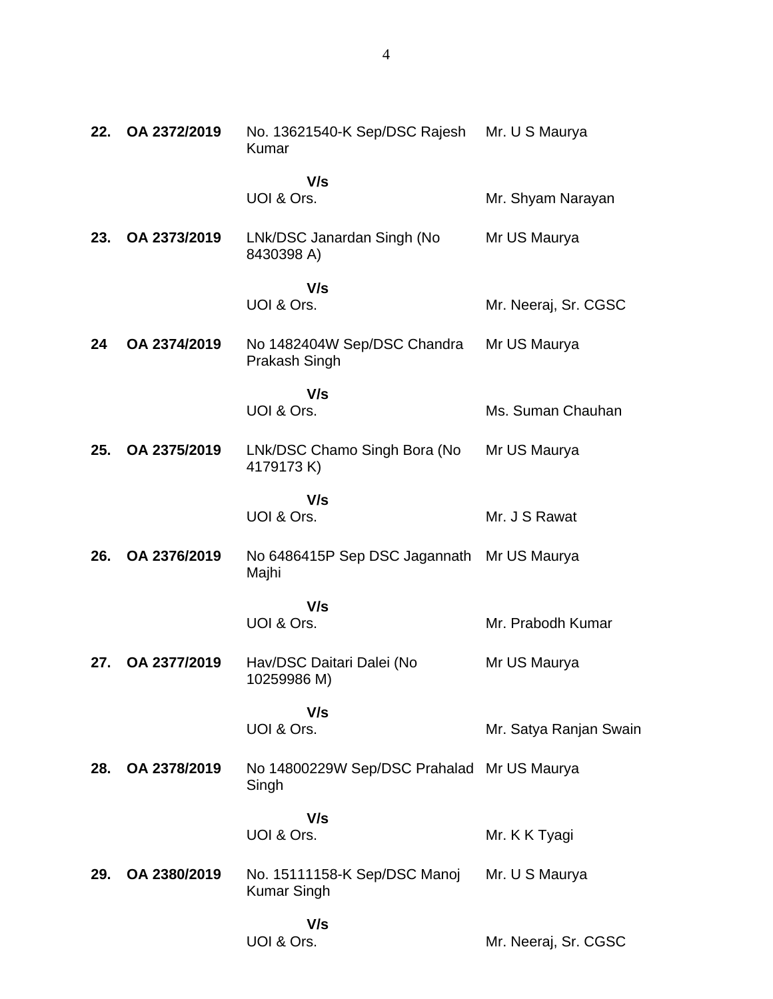| 22. | OA 2372/2019 | No. 13621540-K Sep/DSC Rajesh Mr. U S Maurya<br>Kumar     |                        |
|-----|--------------|-----------------------------------------------------------|------------------------|
|     |              | V/s<br>UOI & Ors.                                         | Mr. Shyam Narayan      |
| 23. | OA 2373/2019 | LNk/DSC Janardan Singh (No<br>8430398 A)                  | Mr US Maurya           |
|     |              | V/s<br>UOI & Ors.                                         | Mr. Neeraj, Sr. CGSC   |
| 24  | OA 2374/2019 | No 1482404W Sep/DSC Chandra Mr US Maurya<br>Prakash Singh |                        |
|     |              | V/s<br>UOI & Ors.                                         | Ms. Suman Chauhan      |
| 25. | OA 2375/2019 | LNk/DSC Chamo Singh Bora (No<br>4179173K)                 | Mr US Maurya           |
|     |              | V/s<br>UOI & Ors.                                         | Mr. J S Rawat          |
| 26. | OA 2376/2019 | No 6486415P Sep DSC Jagannath Mr US Maurya<br>Majhi       |                        |
|     |              | V/s<br>UOI & Ors.                                         | Mr. Prabodh Kumar      |
| 27. | OA 2377/2019 | Hav/DSC Daitari Dalei (No<br>10259986 M)                  | Mr US Maurya           |
|     |              | V/s<br>UOI & Ors.                                         | Mr. Satya Ranjan Swain |
| 28. | OA 2378/2019 | No 14800229W Sep/DSC Prahalad Mr US Maurya<br>Singh       |                        |
|     |              | V/s<br>UOI & Ors.                                         | Mr. K K Tyagi          |
| 29. | OA 2380/2019 | No. 15111158-K Sep/DSC Manoj<br><b>Kumar Singh</b>        | Mr. U S Maurya         |

4

# **V/s**

UOI & Ors.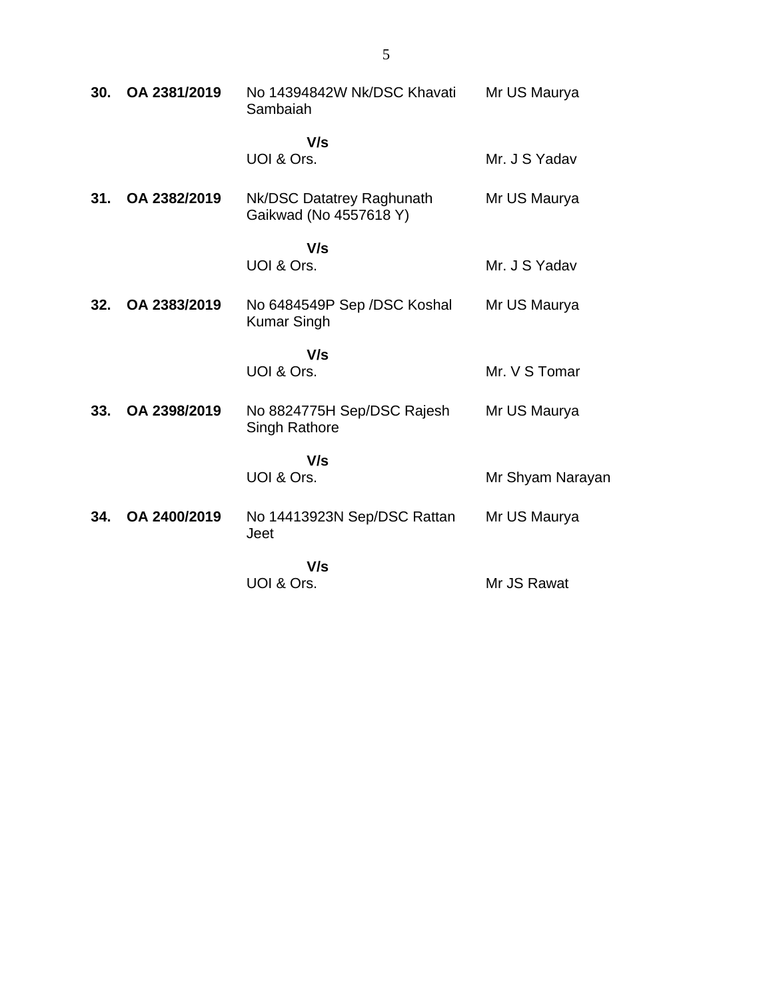| 30. | OA 2381/2019 | No 14394842W Nk/DSC Khavati<br>Sambaiah                    | Mr US Maurya     |
|-----|--------------|------------------------------------------------------------|------------------|
|     |              | V/s<br>UOI & Ors.                                          | Mr. J S Yadav    |
| 31. | OA 2382/2019 | <b>Nk/DSC Datatrey Raghunath</b><br>Gaikwad (No 4557618 Y) | Mr US Maurya     |
|     |              | V/s<br>UOI & Ors.                                          | Mr. J S Yadav    |
| 32. | OA 2383/2019 | No 6484549P Sep /DSC Koshal<br><b>Kumar Singh</b>          | Mr US Maurya     |
|     |              | V/s<br>UOI & Ors.                                          | Mr. V S Tomar    |
| 33. | OA 2398/2019 | No 8824775H Sep/DSC Rajesh<br>Singh Rathore                | Mr US Maurya     |
|     |              | V/s<br>UOI & Ors.                                          | Mr Shyam Narayan |
| 34. | OA 2400/2019 | No 14413923N Sep/DSC Rattan<br>Jeet                        | Mr US Maurya     |
|     |              | V/s<br>UOI & Ors.                                          | Mr JS Rawat      |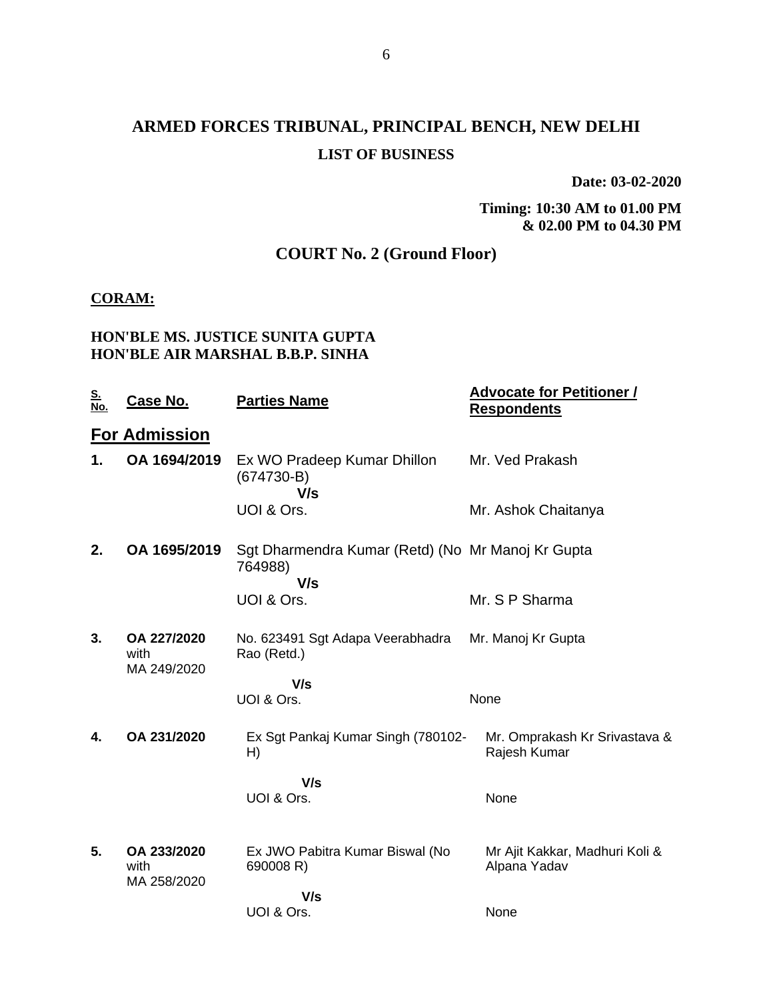# **ARMED FORCES TRIBUNAL, PRINCIPAL BENCH, NEW DELHI LIST OF BUSINESS**

**Date: 03-02-2020**

**Timing: 10:30 AM to 01.00 PM & 02.00 PM to 04.30 PM**

## **COURT No. 2 (Ground Floor)**

### **CORAM:**

### **HON'BLE MS. JUSTICE SUNITA GUPTA HON'BLE AIR MARSHAL B.B.P. SINHA**

| <u>S.</u><br>No. | Case No.                           | <b>Parties Name</b>                                                 | <u> Advocate for Petitioner /</u><br><b>Respondents</b> |
|------------------|------------------------------------|---------------------------------------------------------------------|---------------------------------------------------------|
|                  | <b>For Admission</b>               |                                                                     |                                                         |
| 1.               | OA 1694/2019                       | Ex WO Pradeep Kumar Dhillon<br>$(674730-B)$<br>V/s                  | Mr. Ved Prakash                                         |
|                  |                                    | UOI & Ors.                                                          | Mr. Ashok Chaitanya                                     |
| 2.               | OA 1695/2019                       | Sgt Dharmendra Kumar (Retd) (No Mr Manoj Kr Gupta<br>764988)<br>V/s |                                                         |
|                  |                                    | UOI & Ors.                                                          | Mr. S P Sharma                                          |
| 3.               | OA 227/2020<br>with<br>MA 249/2020 | No. 623491 Sgt Adapa Veerabhadra<br>Rao (Retd.)                     | Mr. Manoj Kr Gupta                                      |
|                  |                                    | V/s<br>UOI & Ors.                                                   | None                                                    |
| 4.               | OA 231/2020                        | Ex Sgt Pankaj Kumar Singh (780102-<br>H)                            | Mr. Omprakash Kr Srivastava &<br>Rajesh Kumar           |
|                  |                                    | V/s<br>UOI & Ors.                                                   | None                                                    |
| 5.               | OA 233/2020<br>with<br>MA 258/2020 | Ex JWO Pabitra Kumar Biswal (No<br>690008 R)                        | Mr Ajit Kakkar, Madhuri Koli &<br>Alpana Yadav          |
|                  |                                    | V/s<br>UOI & Ors.                                                   | None                                                    |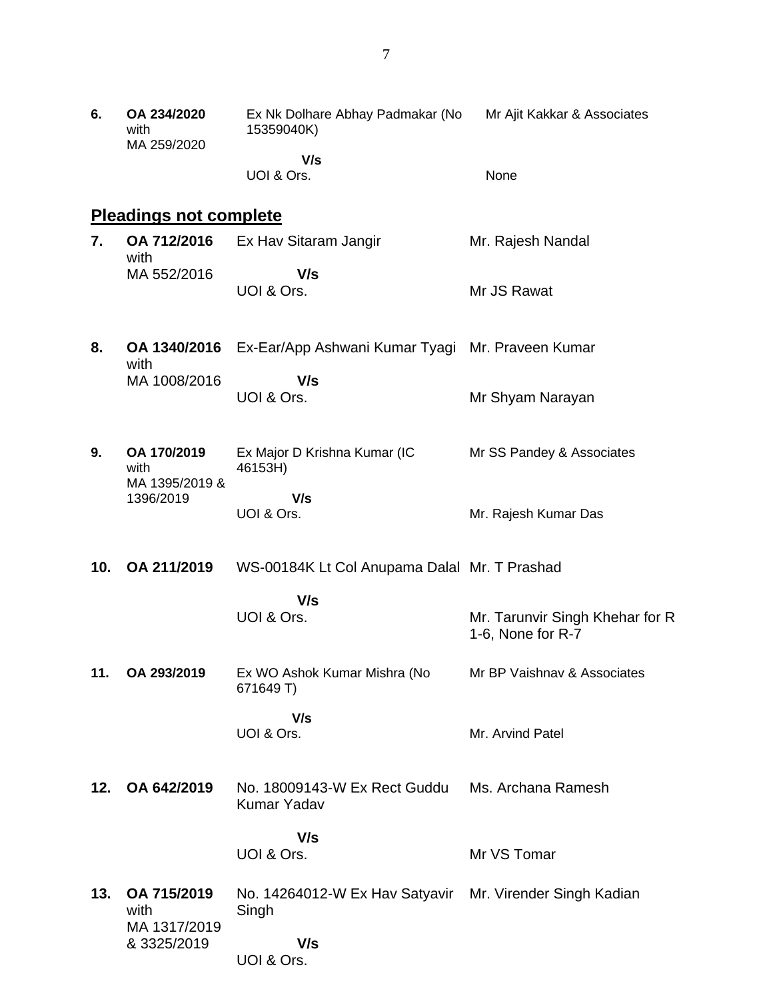| 6.  | OA 234/2020<br>with<br>MA 259/2020    | Ex Nk Dolhare Abhay Padmakar (No<br>15359040K)                    | Mr Ajit Kakkar & Associates                          |
|-----|---------------------------------------|-------------------------------------------------------------------|------------------------------------------------------|
|     |                                       | V/s<br>UOI & Ors.                                                 | None                                                 |
|     | <b>Pleadings not complete</b>         |                                                                   |                                                      |
| 7.  | OA 712/2016<br>with                   | Ex Hav Sitaram Jangir                                             | Mr. Rajesh Nandal                                    |
|     | MA 552/2016                           | V/s<br>UOI & Ors.                                                 | Mr JS Rawat                                          |
| 8.  | OA 1340/2016<br>with                  | Ex-Ear/App Ashwani Kumar Tyagi Mr. Praveen Kumar                  |                                                      |
|     | MA 1008/2016                          | V/s<br>UOI & Ors.                                                 | Mr Shyam Narayan                                     |
| 9.  | OA 170/2019<br>with<br>MA 1395/2019 & | Ex Major D Krishna Kumar (IC<br>46153H)                           | Mr SS Pandey & Associates                            |
|     | 1396/2019                             | V/s<br>UOI & Ors.                                                 | Mr. Rajesh Kumar Das                                 |
| 10. | OA 211/2019                           | WS-00184K Lt Col Anupama Dalal Mr. T Prashad                      |                                                      |
|     |                                       | V/s<br>UOI & Ors.                                                 | Mr. Tarunvir Singh Khehar for R<br>1-6, None for R-7 |
| 11. | OA 293/2019                           | Ex WO Ashok Kumar Mishra (No<br>671649 T)                         | Mr BP Vaishnav & Associates                          |
|     |                                       | V/s<br>UOI & Ors.                                                 | Mr. Arvind Patel                                     |
| 12. | OA 642/2019                           | No. 18009143-W Ex Rect Guddu<br><b>Kumar Yadav</b>                | Ms. Archana Ramesh                                   |
|     |                                       | V/s<br>UOI & Ors.                                                 | Mr VS Tomar                                          |
| 13. | OA 715/2019<br>with<br>MA 1317/2019   | No. 14264012-W Ex Hav Satyavir Mr. Virender Singh Kadian<br>Singh |                                                      |
|     | & 3325/2019                           | V/s<br>UOI & Ors.                                                 |                                                      |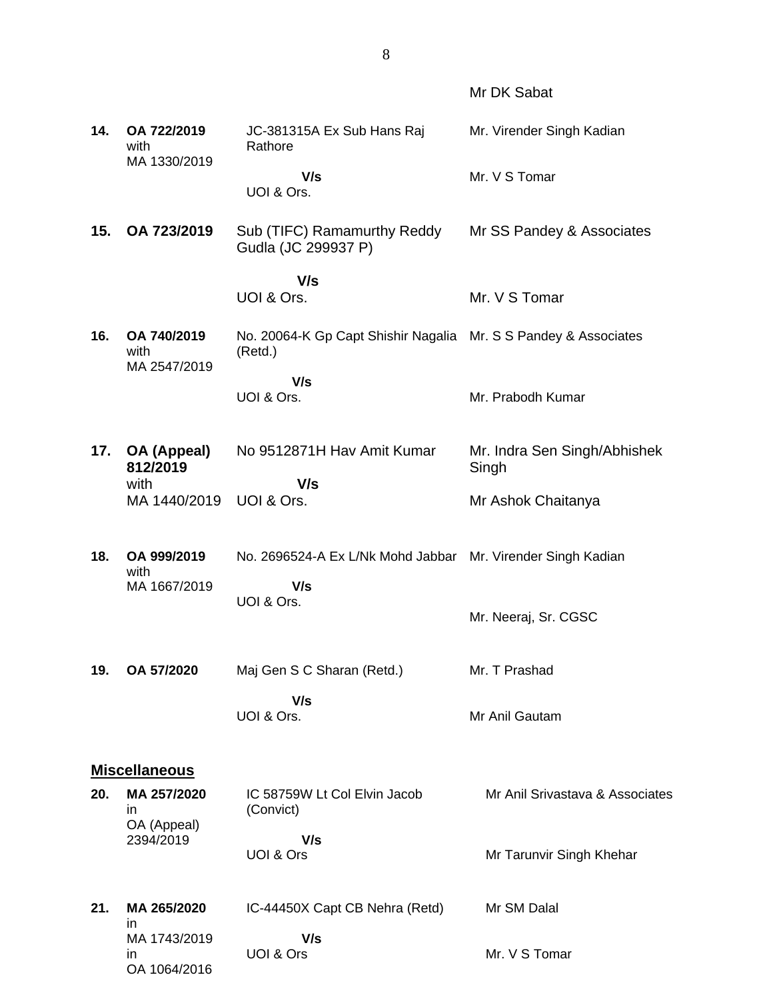|     |                                           |                                                                            | Mr DK Sabat                           |
|-----|-------------------------------------------|----------------------------------------------------------------------------|---------------------------------------|
| 14. | OA 722/2019<br>with                       | JC-381315A Ex Sub Hans Raj<br>Rathore                                      | Mr. Virender Singh Kadian             |
|     | MA 1330/2019                              | V/s<br>UOI & Ors.                                                          | Mr. V S Tomar                         |
| 15. | OA 723/2019                               | Sub (TIFC) Ramamurthy Reddy<br>Gudla (JC 299937 P)                         | Mr SS Pandey & Associates             |
|     |                                           | V/s                                                                        |                                       |
|     |                                           | UOI & Ors.                                                                 | Mr. V S Tomar                         |
| 16. | OA 740/2019<br>with<br>MA 2547/2019       | No. 20064-K Gp Capt Shishir Nagalia Mr. S S Pandey & Associates<br>(Retd.) |                                       |
|     |                                           | V/s<br>UOI & Ors.                                                          | Mr. Prabodh Kumar                     |
| 17. | OA (Appeal)<br>812/2019                   | No 9512871H Hav Amit Kumar                                                 | Mr. Indra Sen Singh/Abhishek<br>Singh |
|     | with<br>MA 1440/2019                      | V/s<br>UOI & Ors.                                                          | Mr Ashok Chaitanya                    |
| 18. | OA 999/2019<br>with                       | No. 2696524-A Ex L/Nk Mohd Jabbar Mr. Virender Singh Kadian                |                                       |
|     | MA 1667/2019                              | V/s<br>UOI & Ors.                                                          | Mr. Neeraj, Sr. CGSC                  |
| 19. | OA 57/2020                                | Maj Gen S C Sharan (Retd.)                                                 | Mr. T Prashad                         |
|     |                                           | V/s<br>UOI & Ors.                                                          | Mr Anil Gautam                        |
|     |                                           |                                                                            |                                       |
| 20. | <b>Miscellaneous</b><br>MA 257/2020<br>ın | IC 58759W Lt Col Elvin Jacob<br>(Convict)                                  | Mr Anil Srivastava & Associates       |
|     | OA (Appeal)<br>2394/2019                  | V/s<br>UOI & Ors                                                           | Mr Tarunvir Singh Khehar              |
| 21. | MA 265/2020                               | IC-44450X Capt CB Nehra (Retd)                                             | Mr SM Dalal                           |
|     | ın<br>MA 1743/2019<br>ın                  | V/s<br>UOI & Ors                                                           | Mr. V S Tomar                         |

OA 1064/2016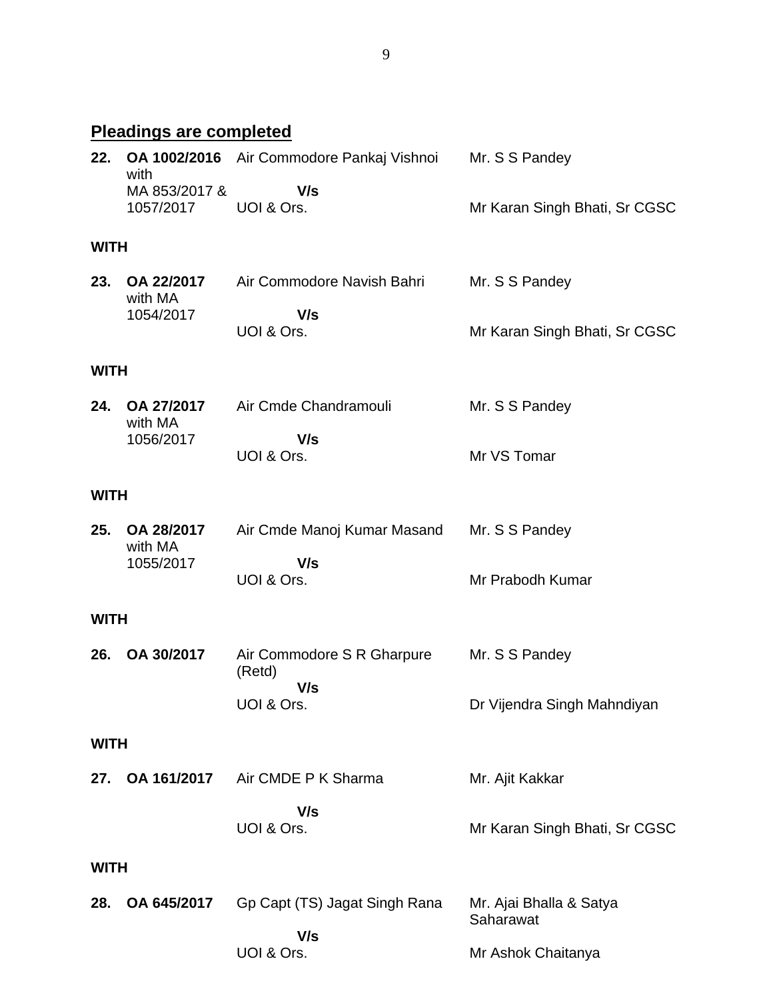# **Pleadings are completed**

| 22.         | OA 1002/2016<br>with       | Air Commodore Pankaj Vishnoi         | Mr. S S Pandey                       |
|-------------|----------------------------|--------------------------------------|--------------------------------------|
|             | MA 853/2017 &<br>1057/2017 | V/s<br>UOI & Ors.                    | Mr Karan Singh Bhati, Sr CGSC        |
| <b>WITH</b> |                            |                                      |                                      |
| 23.         | OA 22/2017<br>with MA      | Air Commodore Navish Bahri           | Mr. S S Pandey                       |
|             | 1054/2017                  | V/s<br>UOI & Ors.                    | Mr Karan Singh Bhati, Sr CGSC        |
| <b>WITH</b> |                            |                                      |                                      |
| 24.         | OA 27/2017<br>with MA      | Air Cmde Chandramouli                | Mr. S S Pandey                       |
|             | 1056/2017                  | V/s<br>UOI & Ors.                    | Mr VS Tomar                          |
| <b>WITH</b> |                            |                                      |                                      |
| 25.         | OA 28/2017<br>with MA      | Air Cmde Manoj Kumar Masand          | Mr. S S Pandey                       |
|             | 1055/2017                  | V/s<br>UOI & Ors.                    | Mr Prabodh Kumar                     |
| <b>WITH</b> |                            |                                      |                                      |
| 26.         | OA 30/2017                 | Air Commodore S R Gharpure<br>(Retd) | Mr. S S Pandey                       |
|             |                            | V/s<br>UOI & Ors.                    | Dr Vijendra Singh Mahndiyan          |
| <b>WITH</b> |                            |                                      |                                      |
| 27.         | OA 161/2017                | Air CMDE P K Sharma                  | Mr. Ajit Kakkar                      |
|             |                            | V/s<br>UOI & Ors.                    | Mr Karan Singh Bhati, Sr CGSC        |
| <b>WITH</b> |                            |                                      |                                      |
| 28.         | OA 645/2017                | Gp Capt (TS) Jagat Singh Rana        | Mr. Ajai Bhalla & Satya<br>Saharawat |
|             |                            | V/s<br>UOI & Ors.                    | Mr Ashok Chaitanya                   |